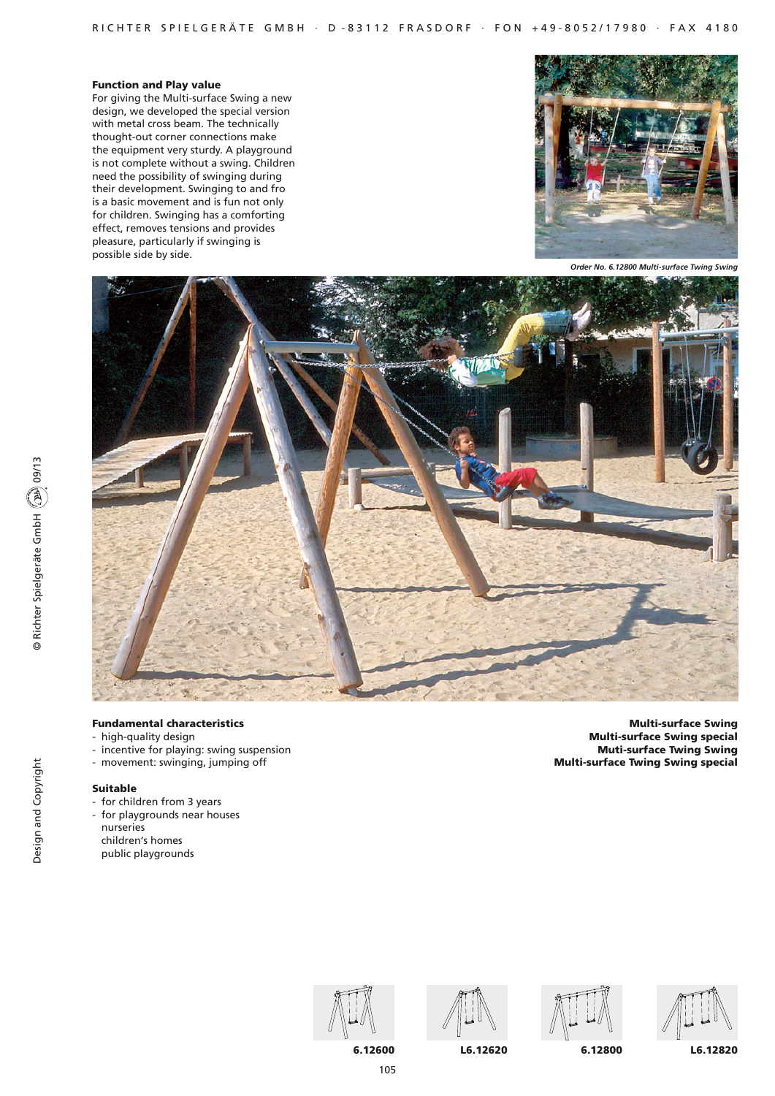# Function and Play value

For giving the Multi-surface Swing a new design, we developed the special version with metal cross beam. The technically thought-out corner connections make the equipment very sturdy. A playground is not complete without a swing. Children need the possibility of swinging during their development. Swinging to and fro is a basic movement and is fun not only for children. Swinging has a comforting effect, removes tensions and provides pleasure, particularly if swinging is possible side by side.



*Order No. 6.12800 Multi-surface Twing Swing*



# Fundamental characteristics

- high-quality design
- incentive for playing: swing suspension
- movement: swinging, jumping off

# Suitable

- for children from 3 years
- for playgrounds near houses
- nurseries children's homes
- public playgrounds

Multi-surface Swing Multi-surface Swing special Muti-surface Twing Swing Multi-surface Twing Swing special











105

6.12600 L6.12620 6.12800